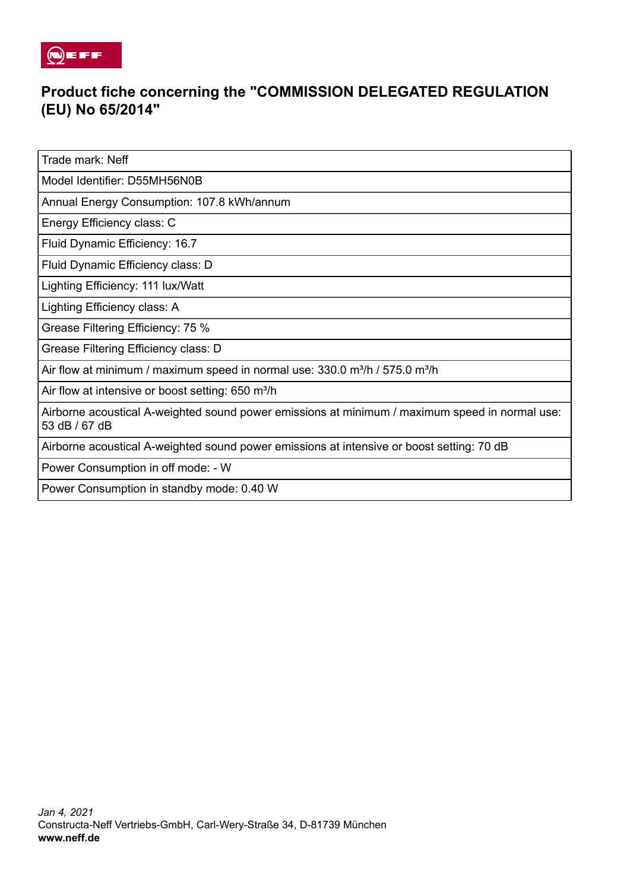

## **Product fiche concerning the "COMMISSION DELEGATED REGULATION (EU) No 65/2014"**

Trade mark: Neff

Model Identifier: D55MH56N0B

Annual Energy Consumption: 107.8 kWh/annum

Energy Efficiency class: C

Fluid Dynamic Efficiency: 16.7

Fluid Dynamic Efficiency class: D

Lighting Efficiency: 111 lux/Watt

Lighting Efficiency class: A

Grease Filtering Efficiency: 75 %

Grease Filtering Efficiency class: D

Air flow at minimum / maximum speed in normal use:  $330.0$  m $\frac{3}{h}$  /  $575.0$  m $\frac{3}{h}$ 

Air flow at intensive or boost setting: 650 m<sup>3</sup>/h

Airborne acoustical A-weighted sound power emissions at minimum / maximum speed in normal use: 53 dB / 67 dB

Airborne acoustical A-weighted sound power emissions at intensive or boost setting: 70 dB

Power Consumption in off mode: - W

Power Consumption in standby mode: 0.40 W